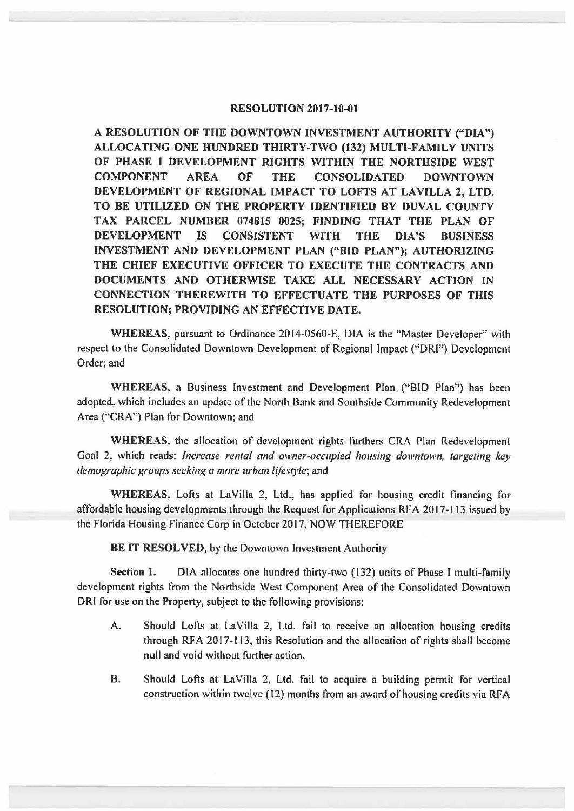## **RESOLUTION 2017-10-01**

**A RESOLUTION OF THE DOWNTOWN INVESTMENT AUTHORITY ("DIA") ALLOCATING ONE HUNDRED THIRTY-TWO (132) MULTI-FAMILY UNITS OF PHASE** I **DEVELOPMENT RIGHTS WITHIN THE NORTHSIDE WEST COMPONENT AREA OF THE CONSOLIDATED DOWNTOWN DEVELOPMENT OF REGIONAL IMPACT TO LOFTS AT LAVILLA 2, LTD. TO BE UTILIZED ON THE PROPERTY IDENTIFIED BY DUVAL COUNTY TAX PARCEL NUMBER 074815 0025; FINDING THAT THE PLAN OF DEVELOPMENT IS CONSISTENT WITH THE DIA'S BUSINESS INVESTMENT AND DEVELOPMENT PLAN ("BID PLAN"); AUTHORIZING THE CHIEF EXECUTIVE OFFICER TO EXECUTE THE CONTRACTS AND DOCUMENTS AND OTHERWISE TAKE ALL NECESSARY ACTION IN CONNECTION THEREWITH TO EFFECTUATE THE PURPOSES OF THIS RESOLUTION; PROVIDING AN EFFECTIVE DATE.** 

**WHEREAS,** pursuant to Ordinance 2014-0560-E, DIA is the "Master Developer" with respect to the Consolidated Downtown Development of Regional Impact ("ORI") Development Order; and

**WHEREAS,** a Business Investment and Development Plan ("BID Plan") has been adopted, which includes an update of the North Bank and Southside Community Redevelopment Area ("CRA") Plan for Downtown; and

**WHEREAS,** the allocation of development rights furthers CRA Plan Redevelopment Goal 2, which reads: *Increase rental and owner-occupied housing downtown, targeting key demographic groups seeking a more urban lifestyle;* and

**WHEREAS,** Lofts at LaVilla 2, Ltd., has applied for housing credit financing for affordable housing developments through the Request for Applications RF A 2017-113 issued by the Florida Housing Finance Corp in October 2017, NOW THEREFORE

**BE IT RESOLVED,** by the Downtown Investment Authority

**Section 1.** DIA allocates one hundred thirty-two (132) units of Phase I multi-family development rights from the Northside West Component Area of the Consolidated Downtown ORI for use on the Property, subject to the following provisions:

- A. Should Lofts at LaVilla 2, Ltd. fail to receive an allocation housing credits through RFA 2017-113, this Resolution and the allocation of rights shall become null and void without further action.
- B. Should Lofts at LaVilla 2, Ltd. fail to acquire a building permit for vertical construction within twelve (12) months from an award of housing credits via RFA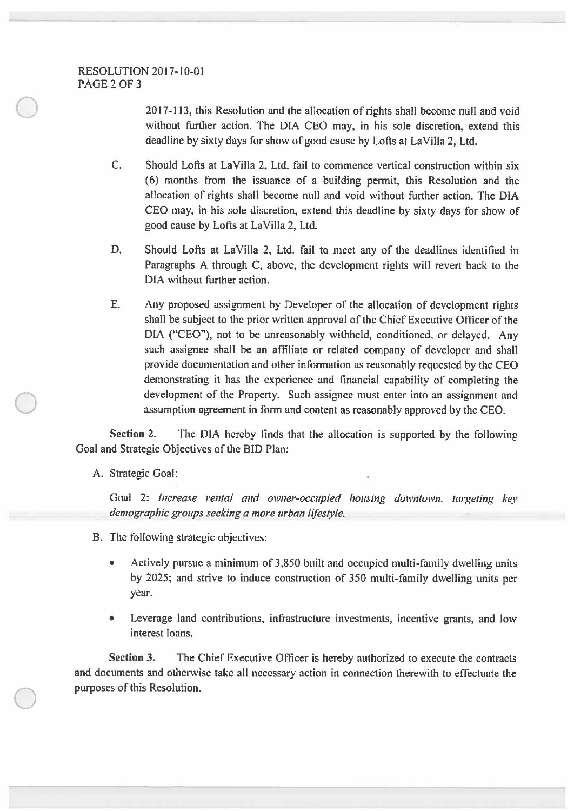$\bigcirc$ 

 $\bigcirc$ 

201 7-113, this Resolution and the allocation of rights shall become null and void without further action. The DIA CEO may, in his sole discretion, extend this deadline by sixty days for show of good cause by Lofts at La Villa 2, Ltd.

- C. Should Lofts at La Villa 2, Ltd. fail to commence vertical construction within six (6) months from the issuance of a building permit, this Resolution and the allocation of rights shall become null and void without further action. The DIA CEO may, in his sole discretion, extend this deadline by sixty days for show of good cause by Lofts at La Villa 2, Ltd.
- D. Should Lofts at LaVilla 2, Ltd. fail to meet any of the deadlines identified in Paragraphs A through C, above, the development rights will revert back to the DIA without further action.
- E. Any proposed assignment by Developer of the allocation of development rights shall be subject to the prior written approval of the Chief Executive Officer of the DIA ("CEO"), not to be unreasonably withheld, conditioned, or delayed. Any such assignee shall be an affiliate or related company of developer and shall provide documentation and other information as reasonably requested by the CEO demonstrating it has the experience and financial capability of completing the development of the Property. Such assignee must enter into an assignment and assumption agreement in form and content as reasonably approved by the CEO.

**Section 2.** The DIA hereby finds that the allocation is supported by the following Goal and Strategic Objectives of the BID Plan:

A. Strategic Goal:

Goal 2: *Increase rental and owner-occupied housing downtown, targeting key demographic groups seeking a more urban lifestyle.* 

- B. The following strategic objectives:
	- Actively pursue a minimum of 3,850 built and occupied multi-family dwelling units by 2025; and strive to induce construction of 350 multi-family dwelling units per year.
	- Leverage land contributions, infrastructure investments, incentive grants, and low interest loans.

**Section 3.** The Chief Executive Officer is hereby authorized to execute the contracts and documents and otherwise take all necessary action in connection therewith to effectuate the purposes of this Resolution.